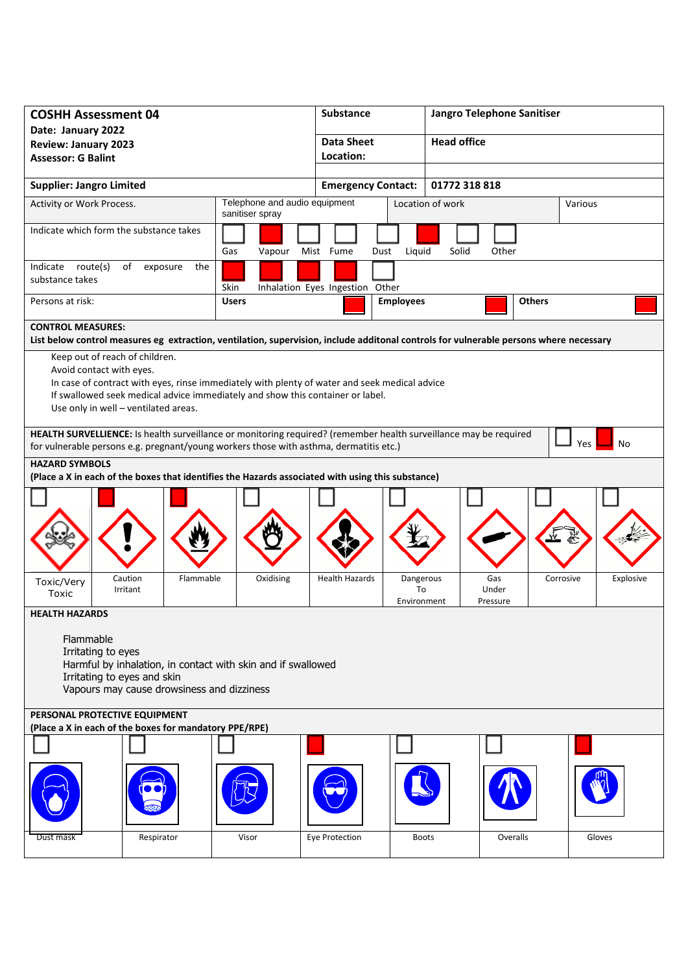| <b>COSHH Assessment 04</b>                                                                                                                                                                                               |                                      |                                                                                               | Substance                       |                  | Jangro Telephone Sanitiser |               |           |  |
|--------------------------------------------------------------------------------------------------------------------------------------------------------------------------------------------------------------------------|--------------------------------------|-----------------------------------------------------------------------------------------------|---------------------------------|------------------|----------------------------|---------------|-----------|--|
| Date: January 2022                                                                                                                                                                                                       |                                      |                                                                                               | <b>Data Sheet</b>               |                  | <b>Head office</b>         |               |           |  |
| <b>Review: January 2023</b><br><b>Assessor: G Balint</b>                                                                                                                                                                 |                                      |                                                                                               | Location:                       |                  |                            |               |           |  |
|                                                                                                                                                                                                                          |                                      |                                                                                               |                                 |                  |                            |               |           |  |
| <b>Supplier: Jangro Limited</b>                                                                                                                                                                                          |                                      |                                                                                               | <b>Emergency Contact:</b>       |                  | 01772 318 818              |               |           |  |
| Activity or Work Process.                                                                                                                                                                                                |                                      | Telephone and audio equipment<br>sanitiser spray                                              |                                 |                  | Location of work           |               | Various   |  |
| Indicate which form the substance takes                                                                                                                                                                                  |                                      | Gas<br>Vapour                                                                                 | Mist Fume<br>Dust               | Liquid           | Solid<br>Other             |               |           |  |
| Indicate route(s)<br>substance takes                                                                                                                                                                                     | of<br>the<br>exposure                | Skin                                                                                          | Inhalation Eyes Ingestion Other |                  |                            |               |           |  |
| Persons at risk:                                                                                                                                                                                                         |                                      | <b>Users</b>                                                                                  |                                 | <b>Employees</b> |                            | <b>Others</b> |           |  |
| <b>CONTROL MEASURES:</b>                                                                                                                                                                                                 |                                      |                                                                                               |                                 |                  |                            |               |           |  |
| List below control measures eg extraction, ventilation, supervision, include additonal controls for vulnerable persons where necessary                                                                                   |                                      |                                                                                               |                                 |                  |                            |               |           |  |
| Keep out of reach of children.                                                                                                                                                                                           |                                      |                                                                                               |                                 |                  |                            |               |           |  |
| Avoid contact with eyes.                                                                                                                                                                                                 |                                      |                                                                                               |                                 |                  |                            |               |           |  |
|                                                                                                                                                                                                                          |                                      | In case of contract with eyes, rinse immediately with plenty of water and seek medical advice |                                 |                  |                            |               |           |  |
|                                                                                                                                                                                                                          |                                      | If swallowed seek medical advice immediately and show this container or label.                |                                 |                  |                            |               |           |  |
|                                                                                                                                                                                                                          | Use only in well - ventilated areas. |                                                                                               |                                 |                  |                            |               |           |  |
| HEALTH SURVELLIENCE: Is health surveillance or monitoring required? (remember health surveillance may be required<br>Yes<br>No<br>for vulnerable persons e.g. pregnant/young workers those with asthma, dermatitis etc.) |                                      |                                                                                               |                                 |                  |                            |               |           |  |
|                                                                                                                                                                                                                          |                                      |                                                                                               |                                 |                  |                            |               |           |  |
| <b>HAZARD SYMBOLS</b><br>(Place a X in each of the boxes that identifies the Hazards associated with using this substance)                                                                                               |                                      |                                                                                               |                                 |                  |                            |               |           |  |
|                                                                                                                                                                                                                          |                                      |                                                                                               |                                 |                  |                            |               |           |  |
|                                                                                                                                                                                                                          |                                      |                                                                                               |                                 |                  |                            |               |           |  |
|                                                                                                                                                                                                                          |                                      |                                                                                               |                                 |                  |                            |               |           |  |
|                                                                                                                                                                                                                          |                                      |                                                                                               |                                 |                  |                            |               |           |  |
|                                                                                                                                                                                                                          |                                      |                                                                                               |                                 |                  |                            |               |           |  |
|                                                                                                                                                                                                                          |                                      |                                                                                               |                                 |                  |                            |               |           |  |
| Toxic/Very                                                                                                                                                                                                               | Caution<br>Flammable                 | Oxidising                                                                                     | <b>Health Hazards</b>           | Dangerous        | Gas                        | Corrosive     | Explosive |  |
| Toxic                                                                                                                                                                                                                    | Irritant                             |                                                                                               |                                 | To               | Under                      |               |           |  |
|                                                                                                                                                                                                                          |                                      |                                                                                               |                                 | Environment      | Pressure                   |               |           |  |
| <b>HEALTH HAZARDS</b>                                                                                                                                                                                                    |                                      |                                                                                               |                                 |                  |                            |               |           |  |
|                                                                                                                                                                                                                          |                                      |                                                                                               |                                 |                  |                            |               |           |  |
| Flammable                                                                                                                                                                                                                |                                      |                                                                                               |                                 |                  |                            |               |           |  |
| Irritating to eyes<br>Harmful by inhalation, in contact with skin and if swallowed                                                                                                                                       |                                      |                                                                                               |                                 |                  |                            |               |           |  |
| Irritating to eyes and skin                                                                                                                                                                                              |                                      |                                                                                               |                                 |                  |                            |               |           |  |
| Vapours may cause drowsiness and dizziness                                                                                                                                                                               |                                      |                                                                                               |                                 |                  |                            |               |           |  |
|                                                                                                                                                                                                                          |                                      |                                                                                               |                                 |                  |                            |               |           |  |
| PERSONAL PROTECTIVE EQUIPMENT<br>(Place a X in each of the boxes for mandatory PPE/RPE)                                                                                                                                  |                                      |                                                                                               |                                 |                  |                            |               |           |  |
|                                                                                                                                                                                                                          |                                      |                                                                                               |                                 |                  |                            |               |           |  |
|                                                                                                                                                                                                                          |                                      |                                                                                               |                                 |                  |                            |               |           |  |
|                                                                                                                                                                                                                          |                                      |                                                                                               |                                 |                  |                            |               |           |  |
| Dust mask                                                                                                                                                                                                                | Respirator                           | Visor                                                                                         | Eye Protection                  | <b>Boots</b>     |                            | Overalls      | Gloves    |  |
|                                                                                                                                                                                                                          |                                      |                                                                                               |                                 |                  |                            |               |           |  |